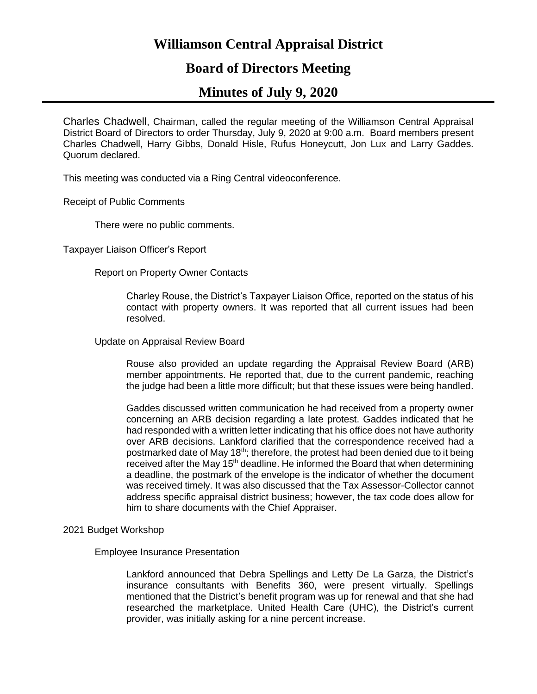# **Williamson Central Appraisal District**

# **Board of Directors Meeting**

# **Minutes of July 9, 2020**

Charles Chadwell, Chairman, called the regular meeting of the Williamson Central Appraisal District Board of Directors to order Thursday, July 9, 2020 at 9:00 a.m. Board members present Charles Chadwell, Harry Gibbs, Donald Hisle, Rufus Honeycutt, Jon Lux and Larry Gaddes. Quorum declared.

This meeting was conducted via a Ring Central videoconference.

Receipt of Public Comments

There were no public comments.

Taxpayer Liaison Officer's Report

Report on Property Owner Contacts

Charley Rouse, the District's Taxpayer Liaison Office, reported on the status of his contact with property owners. It was reported that all current issues had been resolved.

Update on Appraisal Review Board

Rouse also provided an update regarding the Appraisal Review Board (ARB) member appointments. He reported that, due to the current pandemic, reaching the judge had been a little more difficult; but that these issues were being handled.

Gaddes discussed written communication he had received from a property owner concerning an ARB decision regarding a late protest. Gaddes indicated that he had responded with a written letter indicating that his office does not have authority over ARB decisions. Lankford clarified that the correspondence received had a postmarked date of May 18<sup>th</sup>; therefore, the protest had been denied due to it being received after the May 15<sup>th</sup> deadline. He informed the Board that when determining a deadline, the postmark of the envelope is the indicator of whether the document was received timely. It was also discussed that the Tax Assessor-Collector cannot address specific appraisal district business; however, the tax code does allow for him to share documents with the Chief Appraiser.

## 2021 Budget Workshop

## Employee Insurance Presentation

Lankford announced that Debra Spellings and Letty De La Garza, the District's insurance consultants with Benefits 360, were present virtually. Spellings mentioned that the District's benefit program was up for renewal and that she had researched the marketplace. United Health Care (UHC), the District's current provider, was initially asking for a nine percent increase.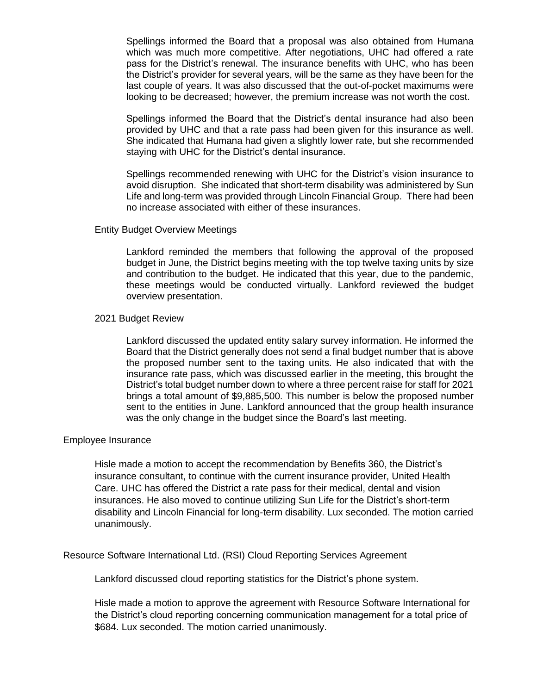Spellings informed the Board that a proposal was also obtained from Humana which was much more competitive. After negotiations, UHC had offered a rate pass for the District's renewal. The insurance benefits with UHC, who has been the District's provider for several years, will be the same as they have been for the last couple of years. It was also discussed that the out-of-pocket maximums were looking to be decreased; however, the premium increase was not worth the cost.

Spellings informed the Board that the District's dental insurance had also been provided by UHC and that a rate pass had been given for this insurance as well. She indicated that Humana had given a slightly lower rate, but she recommended staying with UHC for the District's dental insurance.

Spellings recommended renewing with UHC for the District's vision insurance to avoid disruption. She indicated that short-term disability was administered by Sun Life and long-term was provided through Lincoln Financial Group. There had been no increase associated with either of these insurances.

#### Entity Budget Overview Meetings

Lankford reminded the members that following the approval of the proposed budget in June, the District begins meeting with the top twelve taxing units by size and contribution to the budget. He indicated that this year, due to the pandemic, these meetings would be conducted virtually. Lankford reviewed the budget overview presentation.

#### 2021 Budget Review

Lankford discussed the updated entity salary survey information. He informed the Board that the District generally does not send a final budget number that is above the proposed number sent to the taxing units. He also indicated that with the insurance rate pass, which was discussed earlier in the meeting, this brought the District's total budget number down to where a three percent raise for staff for 2021 brings a total amount of \$9,885,500. This number is below the proposed number sent to the entities in June. Lankford announced that the group health insurance was the only change in the budget since the Board's last meeting.

## Employee Insurance

Hisle made a motion to accept the recommendation by Benefits 360, the District's insurance consultant, to continue with the current insurance provider, United Health Care. UHC has offered the District a rate pass for their medical, dental and vision insurances. He also moved to continue utilizing Sun Life for the District's short-term disability and Lincoln Financial for long-term disability. Lux seconded. The motion carried unanimously.

Resource Software International Ltd. (RSI) Cloud Reporting Services Agreement

Lankford discussed cloud reporting statistics for the District's phone system.

Hisle made a motion to approve the agreement with Resource Software International for the District's cloud reporting concerning communication management for a total price of \$684. Lux seconded. The motion carried unanimously.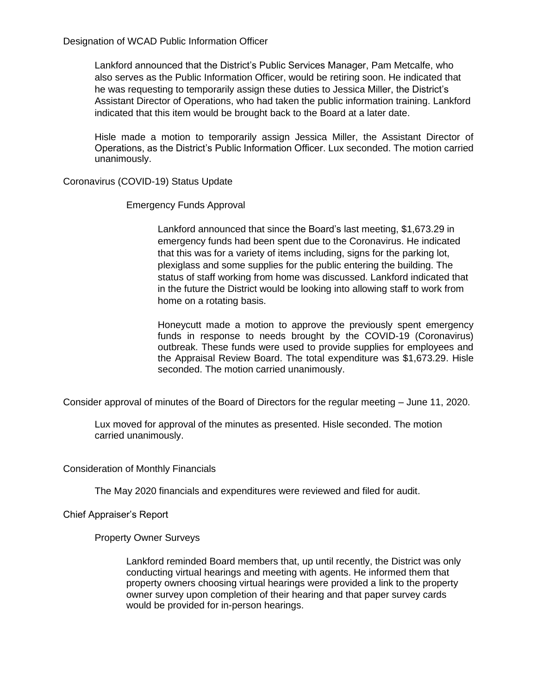Designation of WCAD Public Information Officer

Lankford announced that the District's Public Services Manager, Pam Metcalfe, who also serves as the Public Information Officer, would be retiring soon. He indicated that he was requesting to temporarily assign these duties to Jessica Miller, the District's Assistant Director of Operations, who had taken the public information training. Lankford indicated that this item would be brought back to the Board at a later date.

Hisle made a motion to temporarily assign Jessica Miller, the Assistant Director of Operations, as the District's Public Information Officer. Lux seconded. The motion carried unanimously.

Coronavirus (COVID-19) Status Update

## Emergency Funds Approval

Lankford announced that since the Board's last meeting, \$1,673.29 in emergency funds had been spent due to the Coronavirus. He indicated that this was for a variety of items including, signs for the parking lot, plexiglass and some supplies for the public entering the building. The status of staff working from home was discussed. Lankford indicated that in the future the District would be looking into allowing staff to work from home on a rotating basis.

Honeycutt made a motion to approve the previously spent emergency funds in response to needs brought by the COVID-19 (Coronavirus) outbreak. These funds were used to provide supplies for employees and the Appraisal Review Board. The total expenditure was \$1,673.29. Hisle seconded. The motion carried unanimously.

Consider approval of minutes of the Board of Directors for the regular meeting – June 11, 2020.

Lux moved for approval of the minutes as presented. Hisle seconded. The motion carried unanimously.

Consideration of Monthly Financials

The May 2020 financials and expenditures were reviewed and filed for audit.

Chief Appraiser's Report

Property Owner Surveys

Lankford reminded Board members that, up until recently, the District was only conducting virtual hearings and meeting with agents. He informed them that property owners choosing virtual hearings were provided a link to the property owner survey upon completion of their hearing and that paper survey cards would be provided for in-person hearings.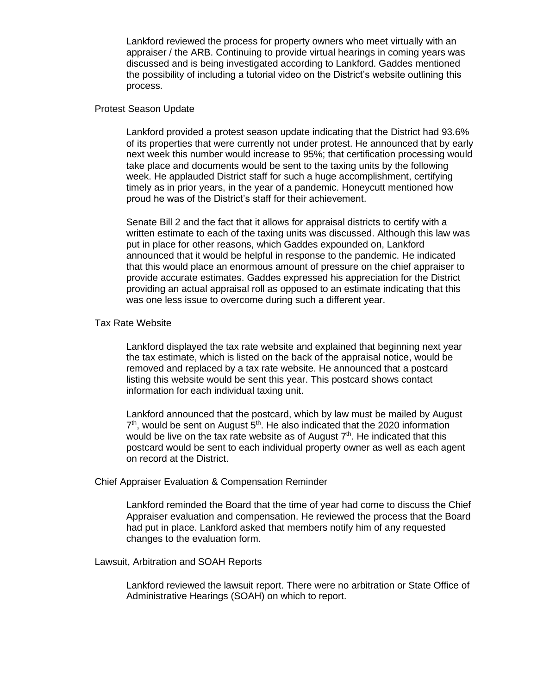Lankford reviewed the process for property owners who meet virtually with an appraiser / the ARB. Continuing to provide virtual hearings in coming years was discussed and is being investigated according to Lankford. Gaddes mentioned the possibility of including a tutorial video on the District's website outlining this process.

#### Protest Season Update

Lankford provided a protest season update indicating that the District had 93.6% of its properties that were currently not under protest. He announced that by early next week this number would increase to 95%; that certification processing would take place and documents would be sent to the taxing units by the following week. He applauded District staff for such a huge accomplishment, certifying timely as in prior years, in the year of a pandemic. Honeycutt mentioned how proud he was of the District's staff for their achievement.

Senate Bill 2 and the fact that it allows for appraisal districts to certify with a written estimate to each of the taxing units was discussed. Although this law was put in place for other reasons, which Gaddes expounded on, Lankford announced that it would be helpful in response to the pandemic. He indicated that this would place an enormous amount of pressure on the chief appraiser to provide accurate estimates. Gaddes expressed his appreciation for the District providing an actual appraisal roll as opposed to an estimate indicating that this was one less issue to overcome during such a different year.

## Tax Rate Website

Lankford displayed the tax rate website and explained that beginning next year the tax estimate, which is listed on the back of the appraisal notice, would be removed and replaced by a tax rate website. He announced that a postcard listing this website would be sent this year. This postcard shows contact information for each individual taxing unit.

Lankford announced that the postcard, which by law must be mailed by August  $7<sup>th</sup>$ , would be sent on August  $5<sup>th</sup>$ . He also indicated that the 2020 information would be live on the tax rate website as of August  $7<sup>th</sup>$ . He indicated that this postcard would be sent to each individual property owner as well as each agent on record at the District.

#### Chief Appraiser Evaluation & Compensation Reminder

Lankford reminded the Board that the time of year had come to discuss the Chief Appraiser evaluation and compensation. He reviewed the process that the Board had put in place. Lankford asked that members notify him of any requested changes to the evaluation form.

#### Lawsuit, Arbitration and SOAH Reports

Lankford reviewed the lawsuit report. There were no arbitration or State Office of Administrative Hearings (SOAH) on which to report.